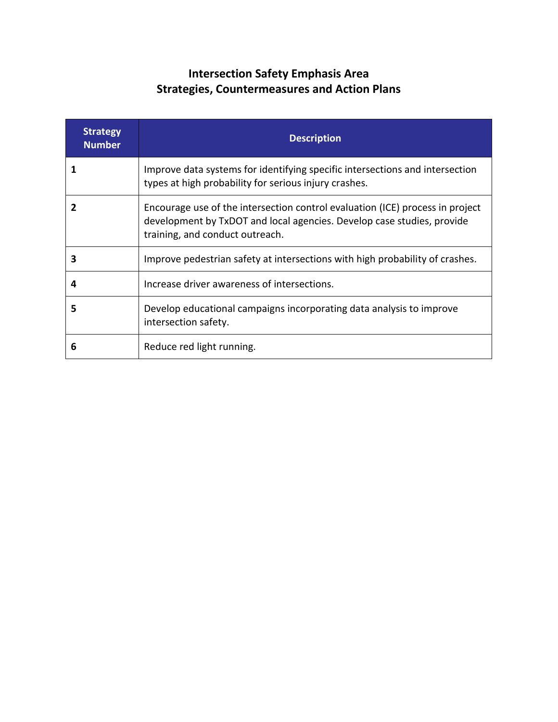## **Intersection Safety Emphasis Area Strategies, Countermeasures and Action Plans**

| <b>Strategy</b><br><b>Number</b> | <b>Description</b>                                                                                                                                                                         |
|----------------------------------|--------------------------------------------------------------------------------------------------------------------------------------------------------------------------------------------|
|                                  | Improve data systems for identifying specific intersections and intersection<br>types at high probability for serious injury crashes.                                                      |
| 2                                | Encourage use of the intersection control evaluation (ICE) process in project<br>development by TxDOT and local agencies. Develop case studies, provide<br>training, and conduct outreach. |
| 3                                | Improve pedestrian safety at intersections with high probability of crashes.                                                                                                               |
| 4                                | Increase driver awareness of intersections.                                                                                                                                                |
| 5                                | Develop educational campaigns incorporating data analysis to improve<br>intersection safety.                                                                                               |
| 6                                | Reduce red light running.                                                                                                                                                                  |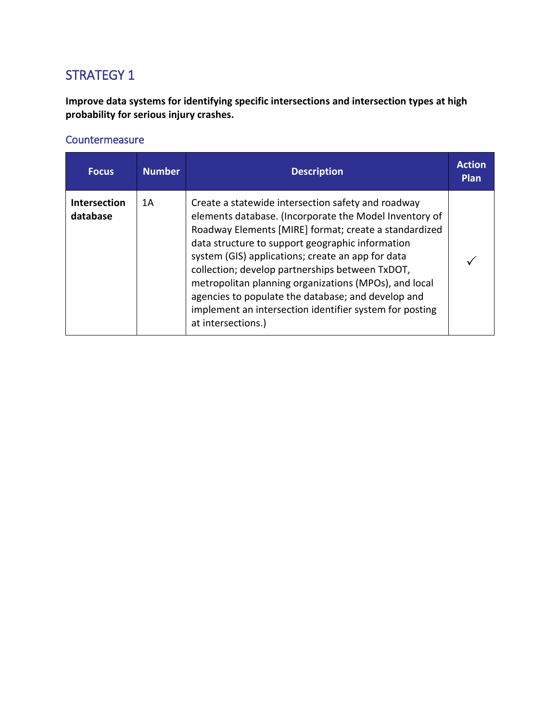**Improve data systems for identifying specific intersections and intersection types at high probability for serious injury crashes.**

| <b>Focus</b>                    | <b>Number</b> | <b>Description</b>                                                                                                                                                                                                                                                                                                                                                                                                                                                                                                                | <b>Action</b><br>Plan |
|---------------------------------|---------------|-----------------------------------------------------------------------------------------------------------------------------------------------------------------------------------------------------------------------------------------------------------------------------------------------------------------------------------------------------------------------------------------------------------------------------------------------------------------------------------------------------------------------------------|-----------------------|
| <b>Intersection</b><br>database | 1A            | Create a statewide intersection safety and roadway<br>elements database. (Incorporate the Model Inventory of<br>Roadway Elements [MIRE] format; create a standardized<br>data structure to support geographic information<br>system (GIS) applications; create an app for data<br>collection; develop partnerships between TxDOT,<br>metropolitan planning organizations (MPOs), and local<br>agencies to populate the database; and develop and<br>implement an intersection identifier system for posting<br>at intersections.) |                       |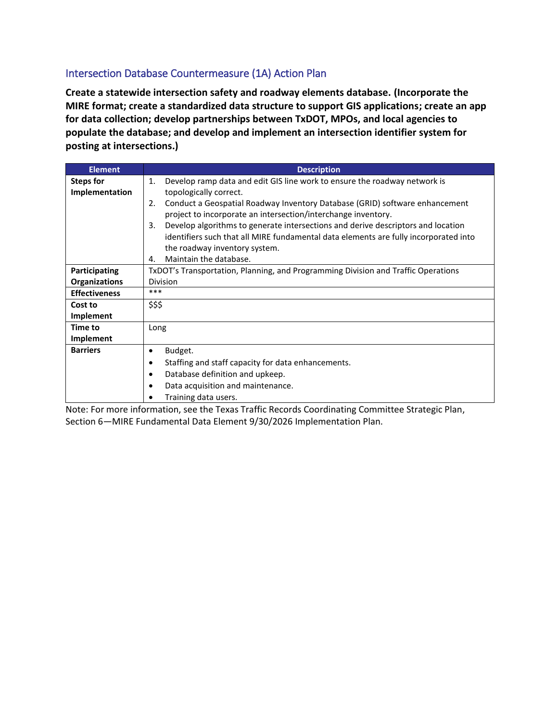#### Intersection Database Countermeasure (1A) Action Plan

**Create a statewide intersection safety and roadway elements database. (Incorporate the MIRE format; create a standardized data structure to support GIS applications; create an app for data collection; develop partnerships between TxDOT, MPOs, and local agencies to populate the database; and develop and implement an intersection identifier system for posting at intersections.)**

| <b>Description</b>                                                                     |
|----------------------------------------------------------------------------------------|
| Develop ramp data and edit GIS line work to ensure the roadway network is<br>1.        |
| topologically correct.                                                                 |
| Conduct a Geospatial Roadway Inventory Database (GRID) software enhancement<br>2.      |
| project to incorporate an intersection/interchange inventory.                          |
| Develop algorithms to generate intersections and derive descriptors and location<br>3. |
| identifiers such that all MIRE fundamental data elements are fully incorporated into   |
| the roadway inventory system.                                                          |
| Maintain the database.<br>4.                                                           |
| TxDOT's Transportation, Planning, and Programming Division and Traffic Operations      |
| Division                                                                               |
| ***                                                                                    |
| \$\$\$                                                                                 |
|                                                                                        |
| Long                                                                                   |
|                                                                                        |
| Budget.<br>٠                                                                           |
| Staffing and staff capacity for data enhancements.                                     |
| Database definition and upkeep.                                                        |
| Data acquisition and maintenance.<br>٠                                                 |
| Training data users.                                                                   |
|                                                                                        |

Note: For more information, see the Texas Traffic Records Coordinating Committee Strategic Plan, Section 6—MIRE Fundamental Data Element 9/30/2026 Implementation Plan.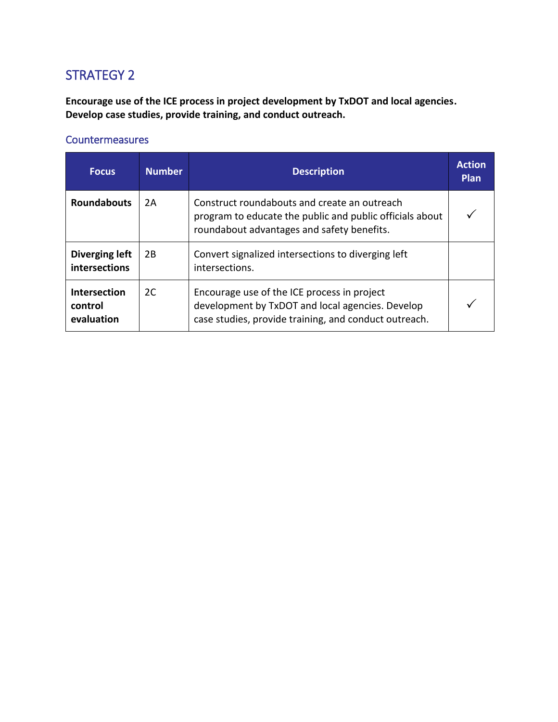**Encourage use of the ICE process in project development by TxDOT and local agencies. Develop case studies, provide training, and conduct outreach.**

| <b>Focus</b>                                 | <b>Number</b> | <b>Description</b>                                                                                                                                       | <b>Action</b><br><b>Plan</b> |
|----------------------------------------------|---------------|----------------------------------------------------------------------------------------------------------------------------------------------------------|------------------------------|
| <b>Roundabouts</b>                           | 2A            | Construct roundabouts and create an outreach<br>program to educate the public and public officials about<br>roundabout advantages and safety benefits.   |                              |
| Diverging left<br><b>intersections</b>       | 2B            | Convert signalized intersections to diverging left<br>intersections.                                                                                     |                              |
| <b>Intersection</b><br>control<br>evaluation | 2C            | Encourage use of the ICE process in project<br>development by TxDOT and local agencies. Develop<br>case studies, provide training, and conduct outreach. |                              |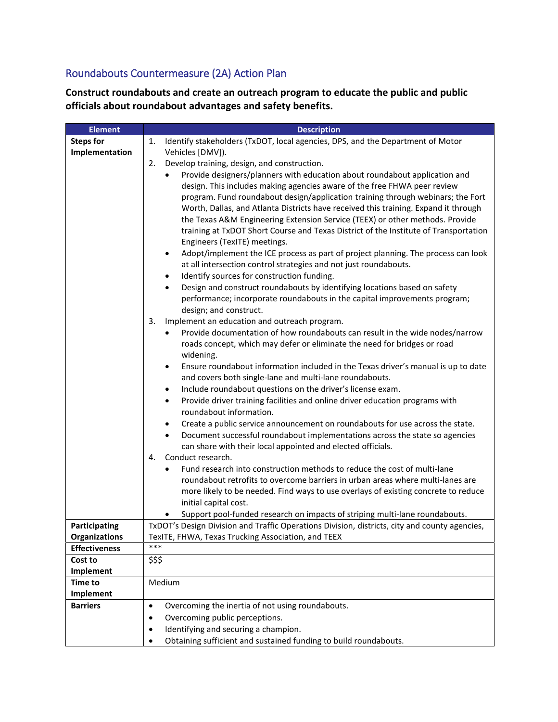## Roundabouts Countermeasure (2A) Action Plan

**Construct roundabouts and create an outreach program to educate the public and public officials about roundabout advantages and safety benefits.**

| <b>Element</b>       | <b>Description</b>                                                                                                                                                           |
|----------------------|------------------------------------------------------------------------------------------------------------------------------------------------------------------------------|
| <b>Steps for</b>     | Identify stakeholders (TxDOT, local agencies, DPS, and the Department of Motor<br>1.                                                                                         |
| Implementation       | Vehicles [DMV]).                                                                                                                                                             |
|                      | Develop training, design, and construction.<br>2.                                                                                                                            |
|                      | Provide designers/planners with education about roundabout application and                                                                                                   |
|                      | design. This includes making agencies aware of the free FHWA peer review                                                                                                     |
|                      | program. Fund roundabout design/application training through webinars; the Fort                                                                                              |
|                      | Worth, Dallas, and Atlanta Districts have received this training. Expand it through                                                                                          |
|                      | the Texas A&M Engineering Extension Service (TEEX) or other methods. Provide                                                                                                 |
|                      | training at TxDOT Short Course and Texas District of the Institute of Transportation                                                                                         |
|                      | Engineers (TexITE) meetings.                                                                                                                                                 |
|                      | Adopt/implement the ICE process as part of project planning. The process can look<br>٠                                                                                       |
|                      | at all intersection control strategies and not just roundabouts.                                                                                                             |
|                      | Identify sources for construction funding.<br>٠                                                                                                                              |
|                      | Design and construct roundabouts by identifying locations based on safety<br>$\bullet$                                                                                       |
|                      | performance; incorporate roundabouts in the capital improvements program;                                                                                                    |
|                      | design; and construct.                                                                                                                                                       |
|                      | Implement an education and outreach program.<br>3.                                                                                                                           |
|                      | Provide documentation of how roundabouts can result in the wide nodes/narrow<br>٠                                                                                            |
|                      | roads concept, which may defer or eliminate the need for bridges or road                                                                                                     |
|                      | widening.                                                                                                                                                                    |
|                      | Ensure roundabout information included in the Texas driver's manual is up to date<br>$\bullet$                                                                               |
|                      | and covers both single-lane and multi-lane roundabouts.                                                                                                                      |
|                      | Include roundabout questions on the driver's license exam.<br>$\bullet$                                                                                                      |
|                      | Provide driver training facilities and online driver education programs with<br>$\bullet$                                                                                    |
|                      | roundabout information.                                                                                                                                                      |
|                      | Create a public service announcement on roundabouts for use across the state.<br>٠                                                                                           |
|                      | Document successful roundabout implementations across the state so agencies<br>$\bullet$                                                                                     |
|                      | can share with their local appointed and elected officials.                                                                                                                  |
|                      | Conduct research.<br>4.                                                                                                                                                      |
|                      | Fund research into construction methods to reduce the cost of multi-lane<br>$\bullet$                                                                                        |
|                      | roundabout retrofits to overcome barriers in urban areas where multi-lanes are                                                                                               |
|                      | more likely to be needed. Find ways to use overlays of existing concrete to reduce                                                                                           |
|                      | initial capital cost.                                                                                                                                                        |
| Participating        | Support pool-funded research on impacts of striping multi-lane roundabouts.<br>TxDOT's Design Division and Traffic Operations Division, districts, city and county agencies, |
| <b>Organizations</b> | TexITE, FHWA, Texas Trucking Association, and TEEX                                                                                                                           |
| <b>Effectiveness</b> | ***                                                                                                                                                                          |
| Cost to              | \$\$\$                                                                                                                                                                       |
| Implement            |                                                                                                                                                                              |
| <b>Time to</b>       | Medium                                                                                                                                                                       |
| Implement            |                                                                                                                                                                              |
| <b>Barriers</b>      | Overcoming the inertia of not using roundabouts.<br>$\bullet$                                                                                                                |
|                      | Overcoming public perceptions.<br>$\bullet$                                                                                                                                  |
|                      | Identifying and securing a champion.<br>$\bullet$                                                                                                                            |
|                      | Obtaining sufficient and sustained funding to build roundabouts.<br>$\bullet$                                                                                                |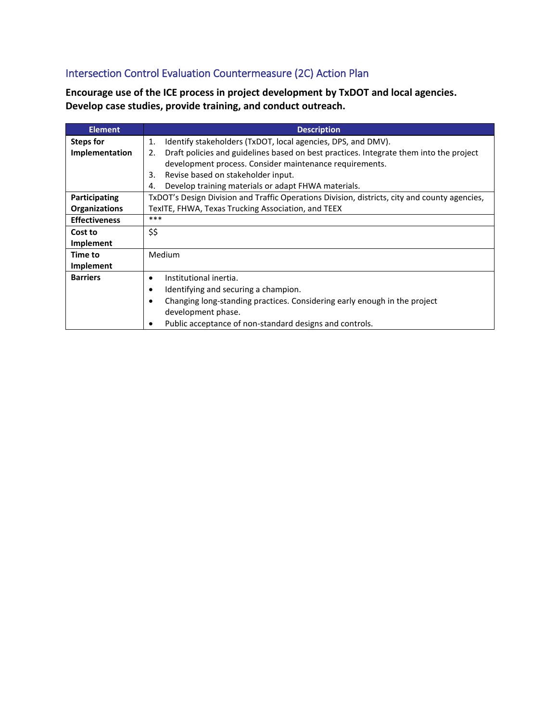# Intersection Control Evaluation Countermeasure (2C) Action Plan

**Encourage use of the ICE process in project development by TxDOT and local agencies. Develop case studies, provide training, and conduct outreach.**

| <b>Element</b>       | <b>Description</b>                                                                            |
|----------------------|-----------------------------------------------------------------------------------------------|
| Steps for            | Identify stakeholders (TxDOT, local agencies, DPS, and DMV).<br>1.                            |
| Implementation       | Draft policies and guidelines based on best practices. Integrate them into the project<br>2.  |
|                      | development process. Consider maintenance requirements.                                       |
|                      | Revise based on stakeholder input.<br>3.                                                      |
|                      | Develop training materials or adapt FHWA materials.<br>4.                                     |
| Participating        | TxDOT's Design Division and Traffic Operations Division, districts, city and county agencies, |
| <b>Organizations</b> | TexITE, FHWA, Texas Trucking Association, and TEEX                                            |
| <b>Effectiveness</b> | ***                                                                                           |
| Cost to              | \$\$                                                                                          |
| Implement            |                                                                                               |
| Time to              | Medium                                                                                        |
| Implement            |                                                                                               |
| <b>Barriers</b>      | Institutional inertia.<br>$\bullet$                                                           |
|                      | Identifying and securing a champion.<br>$\bullet$                                             |
|                      | Changing long-standing practices. Considering early enough in the project                     |
|                      | development phase.                                                                            |
|                      | Public acceptance of non-standard designs and controls.                                       |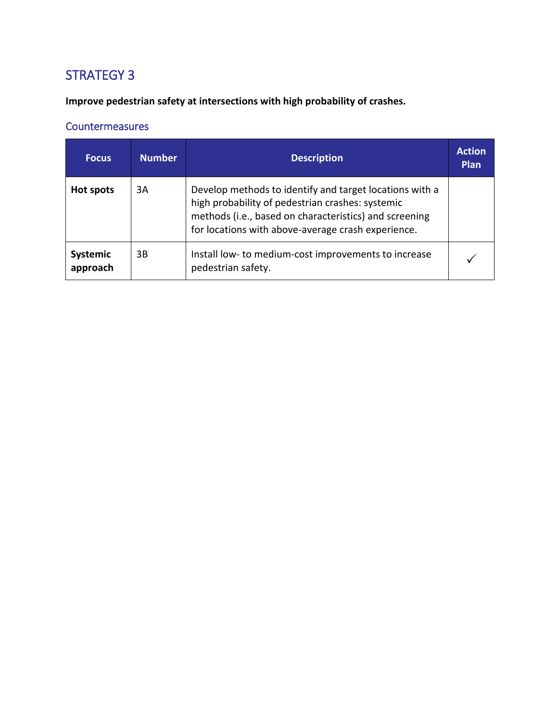**Improve pedestrian safety at intersections with high probability of crashes.**

| <b>Focus</b>         | <b>Number</b> | <b>Description</b>                                                                                                                                                                                                          | <b>Action</b><br><b>Plan</b> |
|----------------------|---------------|-----------------------------------------------------------------------------------------------------------------------------------------------------------------------------------------------------------------------------|------------------------------|
| Hot spots            | 3A            | Develop methods to identify and target locations with a<br>high probability of pedestrian crashes: systemic<br>methods (i.e., based on characteristics) and screening<br>for locations with above-average crash experience. |                              |
| Systemic<br>approach | 3B            | Install low- to medium-cost improvements to increase<br>pedestrian safety.                                                                                                                                                  |                              |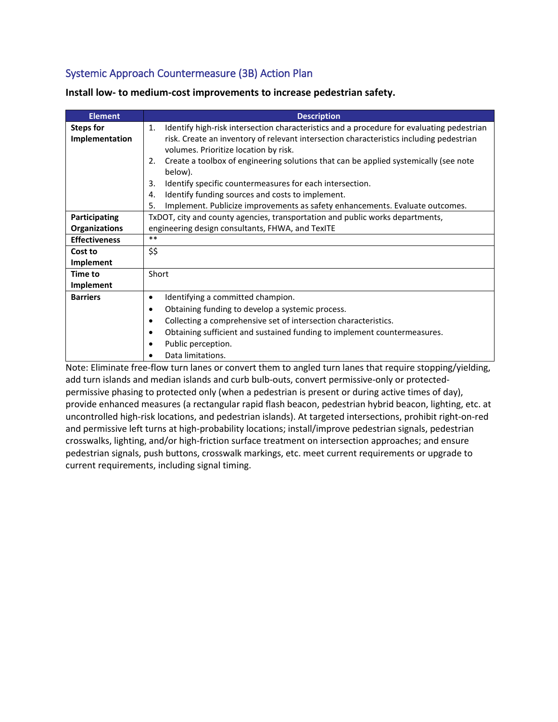### Systemic Approach Countermeasure (3B) Action Plan

| <b>Element</b>                     | <b>Description</b>                                                                                                                                                                                                                                                                                                                           |
|------------------------------------|----------------------------------------------------------------------------------------------------------------------------------------------------------------------------------------------------------------------------------------------------------------------------------------------------------------------------------------------|
| <b>Steps for</b><br>Implementation | Identify high-risk intersection characteristics and a procedure for evaluating pedestrian<br>1.<br>risk. Create an inventory of relevant intersection characteristics including pedestrian<br>volumes. Prioritize location by risk.<br>Create a toolbox of engineering solutions that can be applied systemically (see note<br>2.<br>below). |
|                                    | Identify specific countermeasures for each intersection.<br>3.<br>Identify funding sources and costs to implement.<br>4.<br>Implement. Publicize improvements as safety enhancements. Evaluate outcomes.<br>5.                                                                                                                               |
| Participating                      | TxDOT, city and county agencies, transportation and public works departments,                                                                                                                                                                                                                                                                |
| <b>Organizations</b>               | engineering design consultants, FHWA, and TexITE                                                                                                                                                                                                                                                                                             |
| <b>Effectiveness</b>               | $**$                                                                                                                                                                                                                                                                                                                                         |
| Cost to                            | \$\$                                                                                                                                                                                                                                                                                                                                         |
| Implement                          |                                                                                                                                                                                                                                                                                                                                              |
| <b>Time to</b>                     | Short                                                                                                                                                                                                                                                                                                                                        |
| Implement                          |                                                                                                                                                                                                                                                                                                                                              |
| <b>Barriers</b>                    | Identifying a committed champion.<br>$\bullet$<br>Obtaining funding to develop a systemic process.<br>$\bullet$<br>Collecting a comprehensive set of intersection characteristics.<br>Obtaining sufficient and sustained funding to implement countermeasures.<br>Public perception.<br>Data limitations.                                    |

**Install low- to medium-cost improvements to increase pedestrian safety.**

Note: Eliminate free-flow turn lanes or convert them to angled turn lanes that require stopping/yielding, add turn islands and median islands and curb bulb-outs, convert permissive-only or protectedpermissive phasing to protected only (when a pedestrian is present or during active times of day), provide enhanced measures (a rectangular rapid flash beacon, pedestrian hybrid beacon, lighting, etc. at uncontrolled high-risk locations, and pedestrian islands). At targeted intersections, prohibit right-on-red and permissive left turns at high-probability locations; install/improve pedestrian signals, pedestrian crosswalks, lighting, and/or high-friction surface treatment on intersection approaches; and ensure pedestrian signals, push buttons, crosswalk markings, etc. meet current requirements or upgrade to current requirements, including signal timing.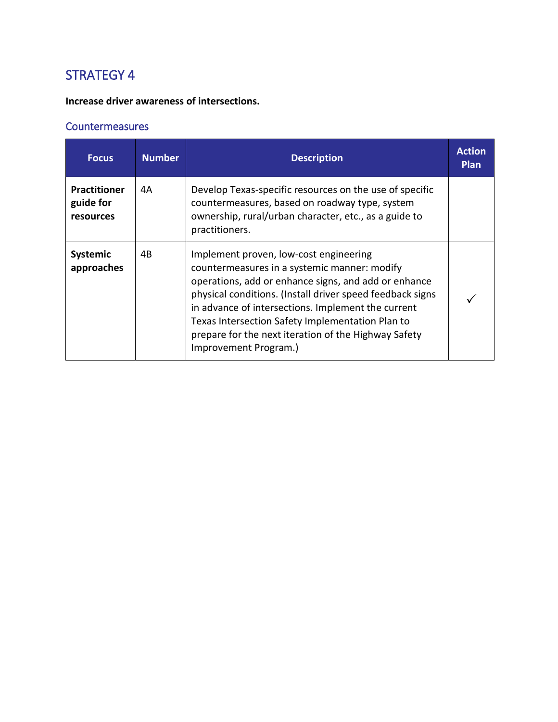#### **Increase driver awareness of intersections.**

| <b>Focus</b>                                         | <b>Number</b> | <b>Description</b>                                                                                                                                                                                                                                                                                                                                                                                     | <b>Action</b><br><b>Plan</b> |
|------------------------------------------------------|---------------|--------------------------------------------------------------------------------------------------------------------------------------------------------------------------------------------------------------------------------------------------------------------------------------------------------------------------------------------------------------------------------------------------------|------------------------------|
| <b>Practitioner</b><br>guide for<br><b>resources</b> | 4А            | Develop Texas-specific resources on the use of specific<br>countermeasures, based on roadway type, system<br>ownership, rural/urban character, etc., as a guide to<br>practitioners.                                                                                                                                                                                                                   |                              |
| <b>Systemic</b><br>approaches                        | 4B            | Implement proven, low-cost engineering<br>countermeasures in a systemic manner: modify<br>operations, add or enhance signs, and add or enhance<br>physical conditions. (Install driver speed feedback signs<br>in advance of intersections. Implement the current<br>Texas Intersection Safety Implementation Plan to<br>prepare for the next iteration of the Highway Safety<br>Improvement Program.) |                              |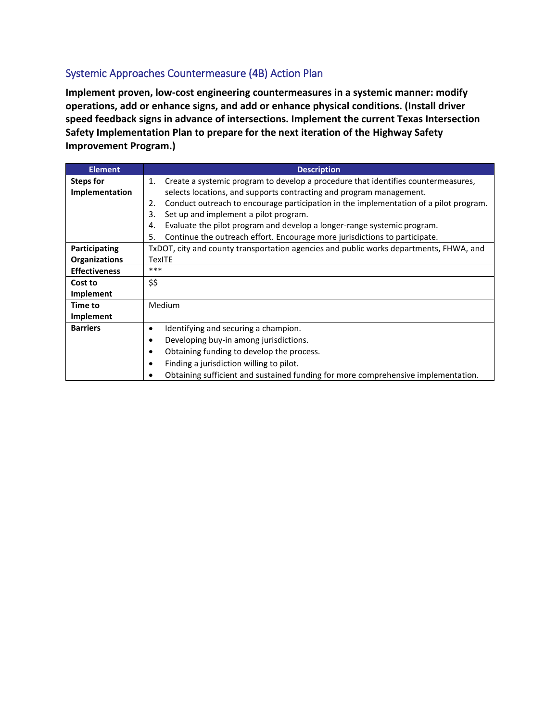### Systemic Approaches Countermeasure (4B) Action Plan

**Implement proven, low-cost engineering countermeasures in a systemic manner: modify operations, add or enhance signs, and add or enhance physical conditions. (Install driver speed feedback signs in advance of intersections. Implement the current Texas Intersection Safety Implementation Plan to prepare for the next iteration of the Highway Safety Improvement Program.)**

| <b>Element</b>       | <b>Description</b>                                                                          |
|----------------------|---------------------------------------------------------------------------------------------|
| Steps for            | Create a systemic program to develop a procedure that identifies countermeasures,<br>1.     |
| Implementation       | selects locations, and supports contracting and program management.                         |
|                      | Conduct outreach to encourage participation in the implementation of a pilot program.<br>2. |
|                      | Set up and implement a pilot program.<br>3.                                                 |
|                      | Evaluate the pilot program and develop a longer-range systemic program.<br>4.               |
|                      | Continue the outreach effort. Encourage more jurisdictions to participate.<br>5.            |
| Participating        | TxDOT, city and county transportation agencies and public works departments, FHWA, and      |
| <b>Organizations</b> | TexITE                                                                                      |
| <b>Effectiveness</b> | ***                                                                                         |
| Cost to              | \$\$                                                                                        |
| Implement            |                                                                                             |
| Time to              | Medium                                                                                      |
| Implement            |                                                                                             |
| <b>Barriers</b>      | Identifying and securing a champion.<br>٠                                                   |
|                      | Developing buy-in among jurisdictions.                                                      |
|                      | Obtaining funding to develop the process.                                                   |
|                      | Finding a jurisdiction willing to pilot.                                                    |
|                      | Obtaining sufficient and sustained funding for more comprehensive implementation.           |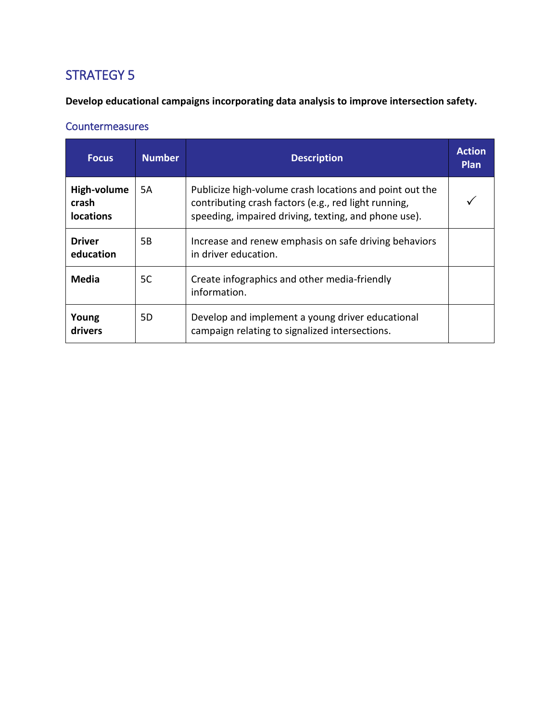**Develop educational campaigns incorporating data analysis to improve intersection safety.**

| <b>Focus</b>                             | <b>Number</b> | <b>Description</b>                                                                                                                                                      | <b>Action</b><br>Plan |
|------------------------------------------|---------------|-------------------------------------------------------------------------------------------------------------------------------------------------------------------------|-----------------------|
| High-volume<br>crash<br><b>locations</b> | 5A            | Publicize high-volume crash locations and point out the<br>contributing crash factors (e.g., red light running,<br>speeding, impaired driving, texting, and phone use). |                       |
| <b>Driver</b><br>education               | 5B            | Increase and renew emphasis on safe driving behaviors<br>in driver education.                                                                                           |                       |
| <b>Media</b>                             | 5C            | Create infographics and other media-friendly<br>information.                                                                                                            |                       |
| Young<br>drivers                         | 5D            | Develop and implement a young driver educational<br>campaign relating to signalized intersections.                                                                      |                       |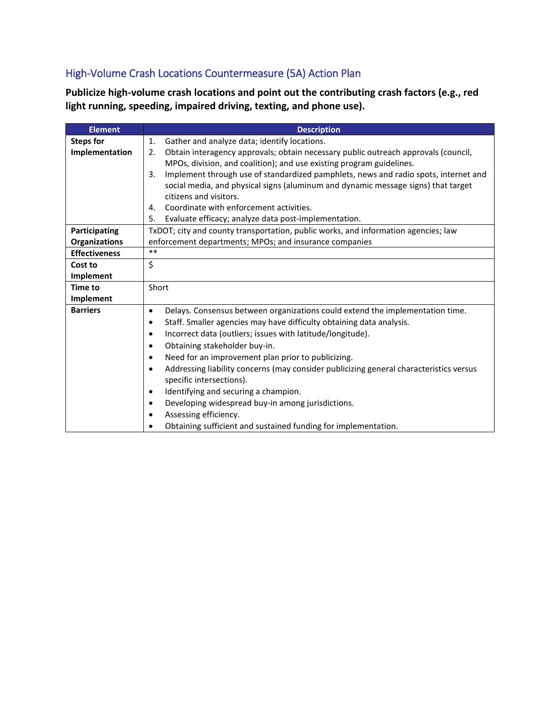## High-Volume Crash Locations Countermeasure (5A) Action Plan

**Publicize high-volume crash locations and point out the contributing crash factors (e.g., red light running, speeding, impaired driving, texting, and phone use).**

| <b>Element</b>       | <b>Description</b>                                                                                  |
|----------------------|-----------------------------------------------------------------------------------------------------|
| <b>Steps for</b>     | Gather and analyze data; identify locations.<br>1.                                                  |
| Implementation       | Obtain interagency approvals; obtain necessary public outreach approvals (council,<br>2.            |
|                      | MPOs, division, and coalition); and use existing program guidelines.                                |
|                      | Implement through use of standardized pamphlets, news and radio spots, internet and<br>3.           |
|                      | social media, and physical signs (aluminum and dynamic message signs) that target                   |
|                      | citizens and visitors.                                                                              |
|                      | Coordinate with enforcement activities.<br>4.                                                       |
|                      | Evaluate efficacy; analyze data post-implementation.<br>5.                                          |
| Participating        | TxDOT; city and county transportation, public works, and information agencies; law                  |
| Organizations        | enforcement departments; MPOs; and insurance companies                                              |
| <b>Effectiveness</b> | $***$                                                                                               |
| Cost to              | \$                                                                                                  |
| Implement            |                                                                                                     |
| <b>Time to</b>       | Short                                                                                               |
| Implement            |                                                                                                     |
| <b>Barriers</b>      | Delays. Consensus between organizations could extend the implementation time.<br>$\bullet$          |
|                      | Staff. Smaller agencies may have difficulty obtaining data analysis.<br>٠                           |
|                      | Incorrect data (outliers; issues with latitude/longitude).                                          |
|                      | Obtaining stakeholder buy-in.                                                                       |
|                      | Need for an improvement plan prior to publicizing.                                                  |
|                      | Addressing liability concerns (may consider publicizing general characteristics versus<br>$\bullet$ |
|                      | specific intersections).                                                                            |
|                      | Identifying and securing a champion.                                                                |
|                      | Developing widespread buy-in among jurisdictions.                                                   |
|                      | Assessing efficiency.                                                                               |
|                      | Obtaining sufficient and sustained funding for implementation.                                      |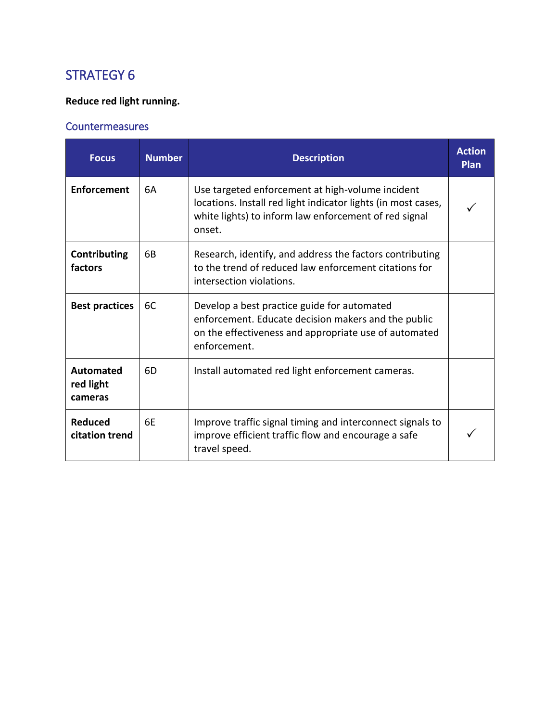### **Reduce red light running.**

| <b>Focus</b>                             | <b>Number</b> | <b>Description</b>                                                                                                                                                                   | <b>Action</b><br>Plan |
|------------------------------------------|---------------|--------------------------------------------------------------------------------------------------------------------------------------------------------------------------------------|-----------------------|
| <b>Enforcement</b>                       | 6A            | Use targeted enforcement at high-volume incident<br>locations. Install red light indicator lights (in most cases,<br>white lights) to inform law enforcement of red signal<br>onset. |                       |
| Contributing<br>factors                  | 6B            | Research, identify, and address the factors contributing<br>to the trend of reduced law enforcement citations for<br>intersection violations.                                        |                       |
| <b>Best practices</b>                    | 6C            | Develop a best practice guide for automated<br>enforcement. Educate decision makers and the public<br>on the effectiveness and appropriate use of automated<br>enforcement.          |                       |
| <b>Automated</b><br>red light<br>cameras | 6D            | Install automated red light enforcement cameras.                                                                                                                                     |                       |
| <b>Reduced</b><br>citation trend         | 6E            | Improve traffic signal timing and interconnect signals to<br>improve efficient traffic flow and encourage a safe<br>travel speed.                                                    |                       |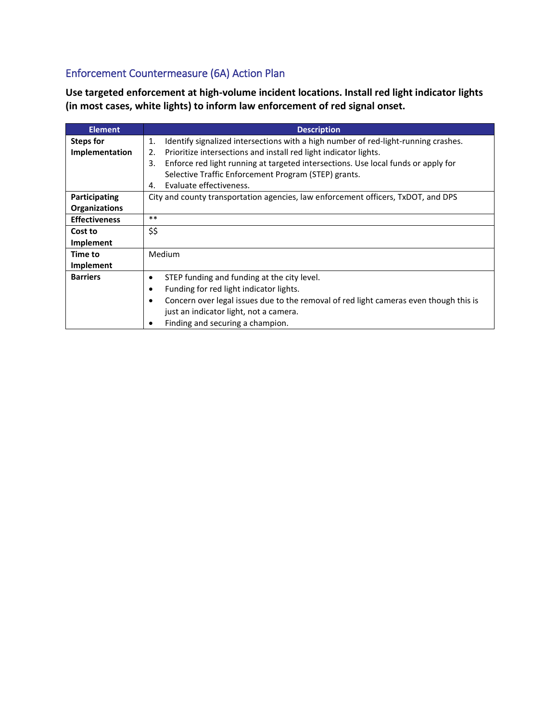## Enforcement Countermeasure (6A) Action Plan

**Use targeted enforcement at high-volume incident locations. Install red light indicator lights (in most cases, white lights) to inform law enforcement of red signal onset.**

| <b>Element</b>       | <b>Description</b>                                                                       |  |  |
|----------------------|------------------------------------------------------------------------------------------|--|--|
| <b>Steps for</b>     | Identify signalized intersections with a high number of red-light-running crashes.<br>1. |  |  |
| Implementation       | Prioritize intersections and install red light indicator lights.<br>2.                   |  |  |
|                      | Enforce red light running at targeted intersections. Use local funds or apply for<br>3.  |  |  |
|                      | Selective Traffic Enforcement Program (STEP) grants.                                     |  |  |
|                      | Evaluate effectiveness.<br>4.                                                            |  |  |
| Participating        | City and county transportation agencies, law enforcement officers, TxDOT, and DPS        |  |  |
| <b>Organizations</b> |                                                                                          |  |  |
| <b>Effectiveness</b> | $***$                                                                                    |  |  |
| Cost to              | \$\$                                                                                     |  |  |
| Implement            |                                                                                          |  |  |
| Time to              | Medium                                                                                   |  |  |
| Implement            |                                                                                          |  |  |
| <b>Barriers</b>      | STEP funding and funding at the city level.<br>٠                                         |  |  |
|                      | Funding for red light indicator lights.                                                  |  |  |
|                      | Concern over legal issues due to the removal of red light cameras even though this is    |  |  |
|                      | just an indicator light, not a camera.                                                   |  |  |
|                      | Finding and securing a champion.                                                         |  |  |